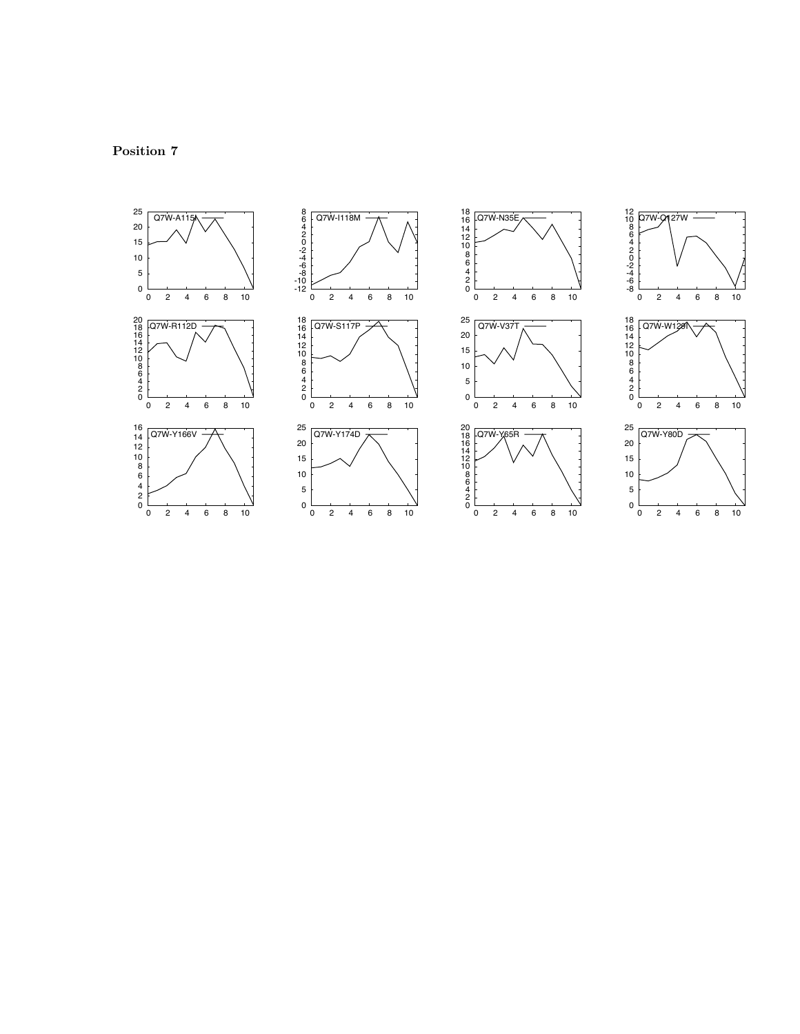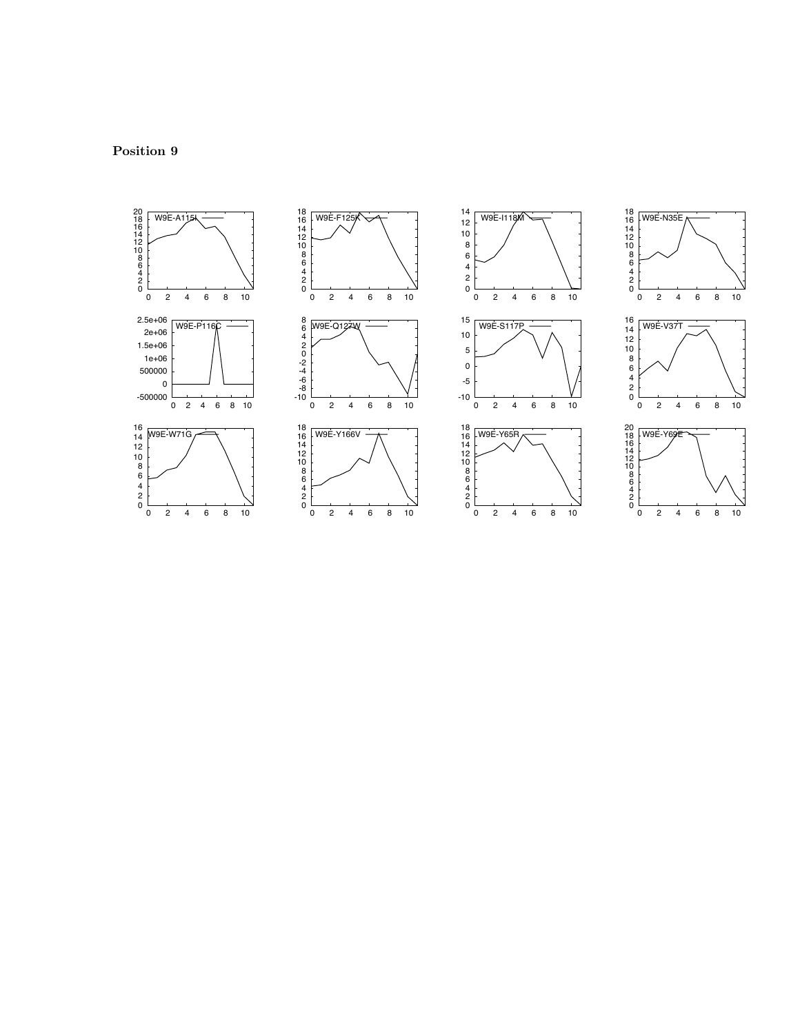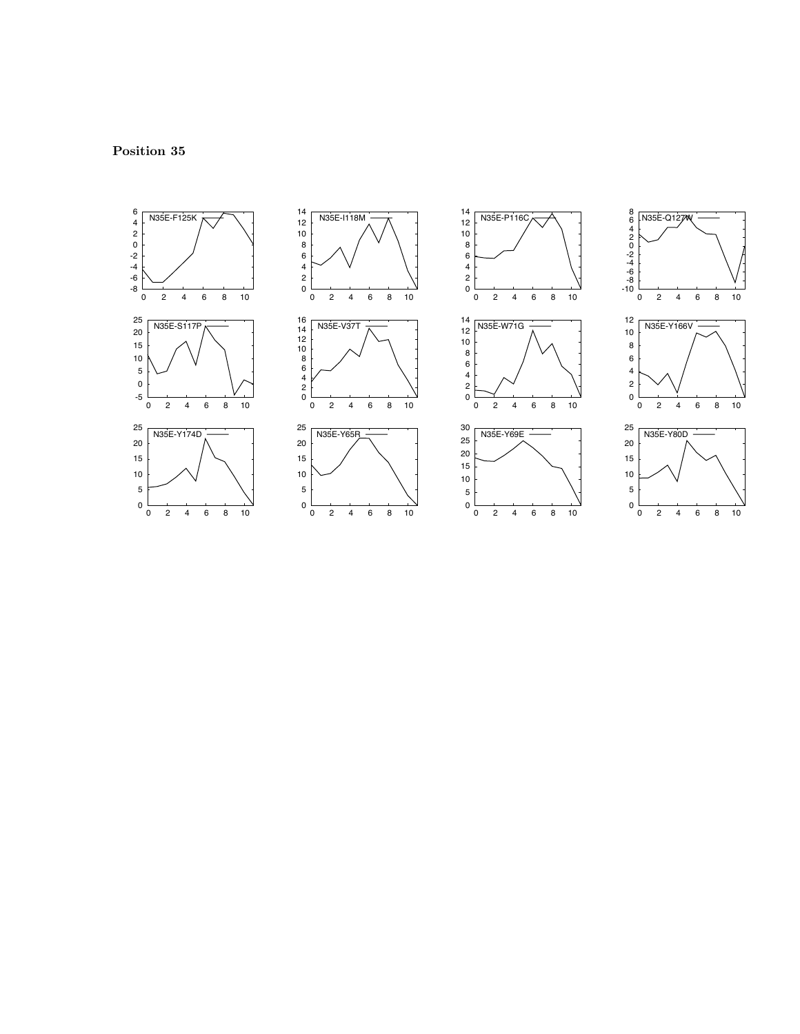





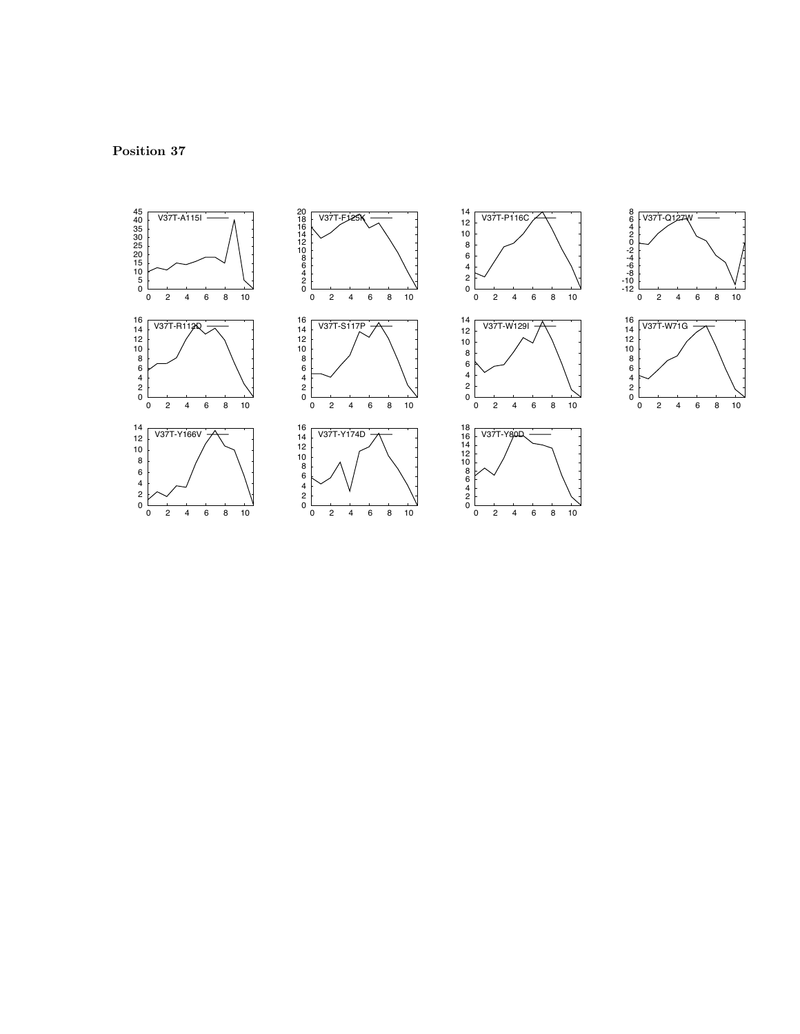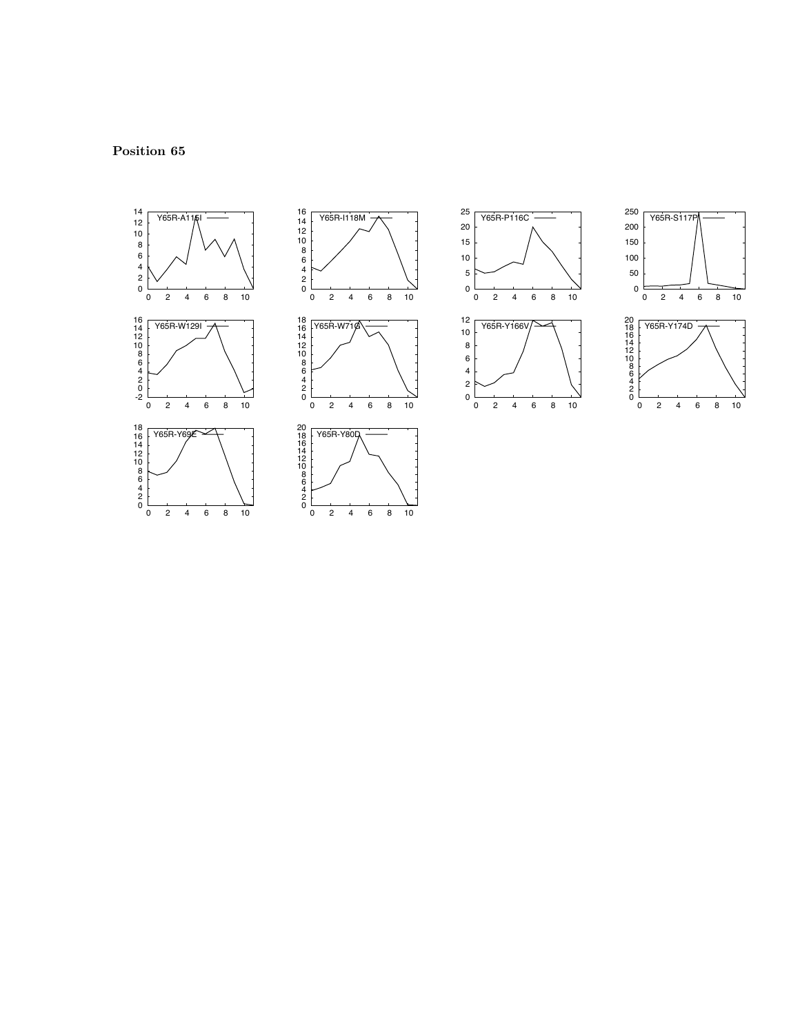



0 2 4 6 8 10



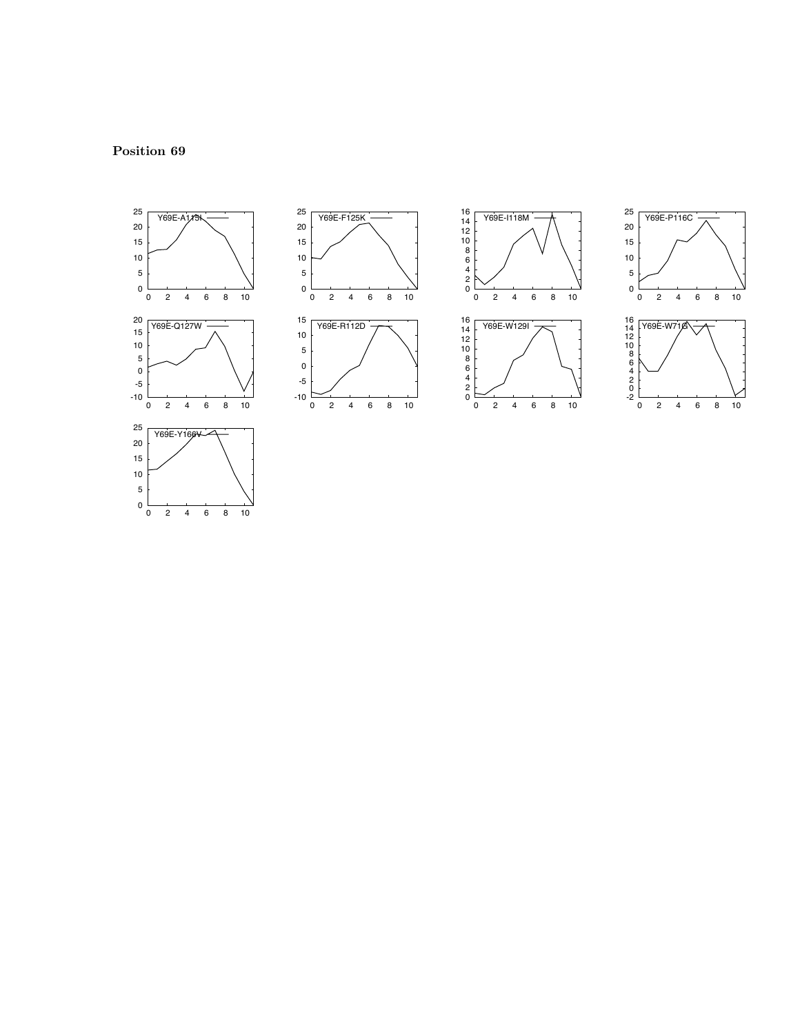





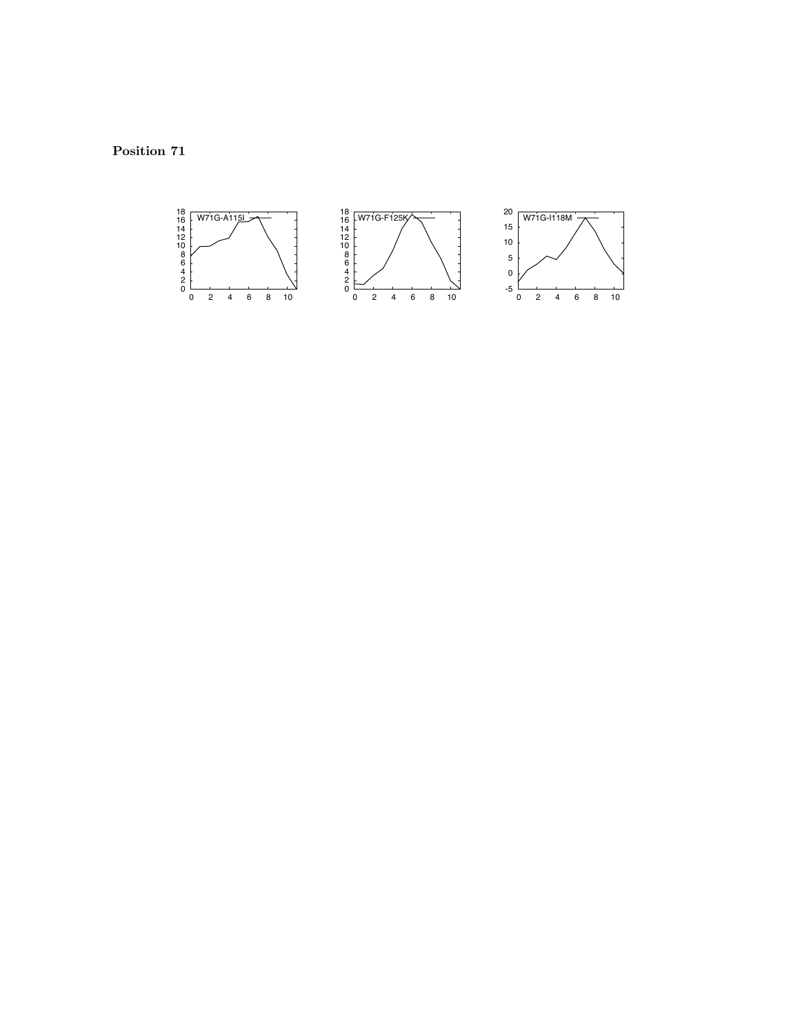Position 71

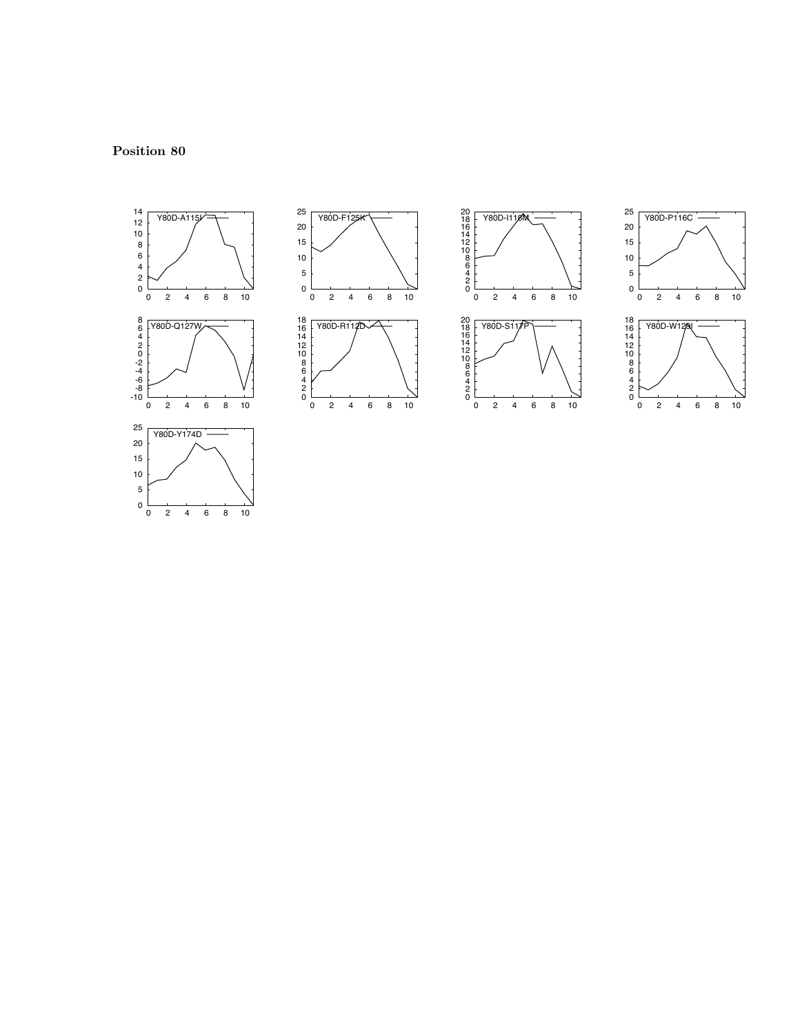





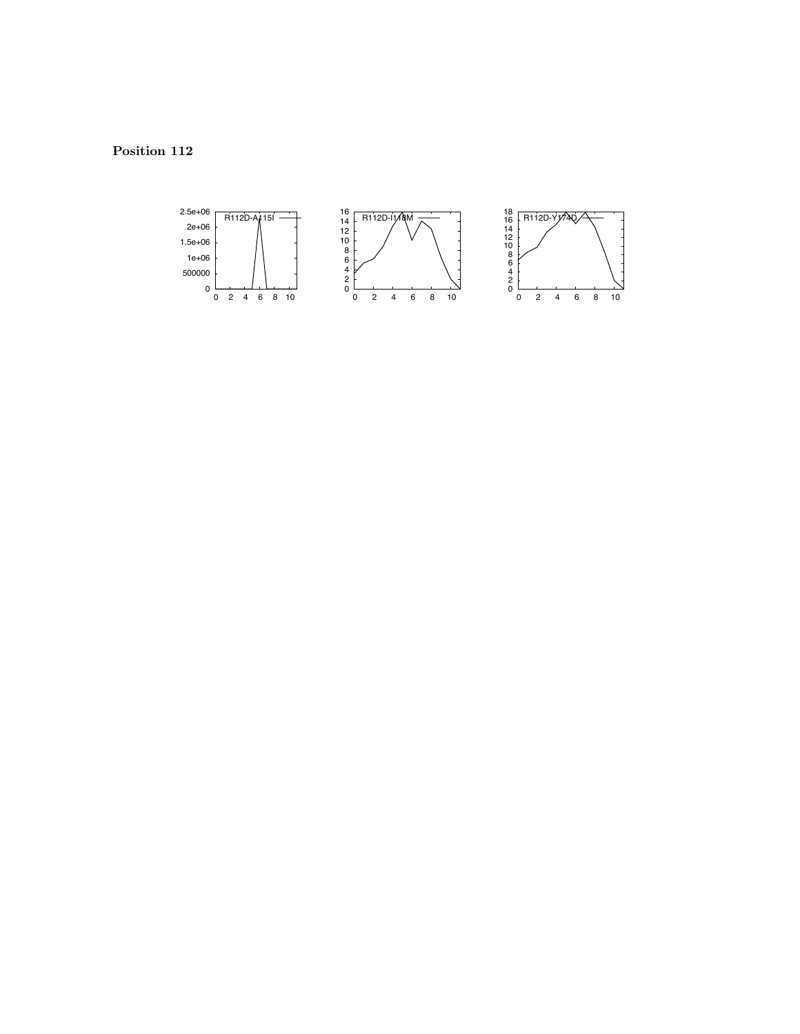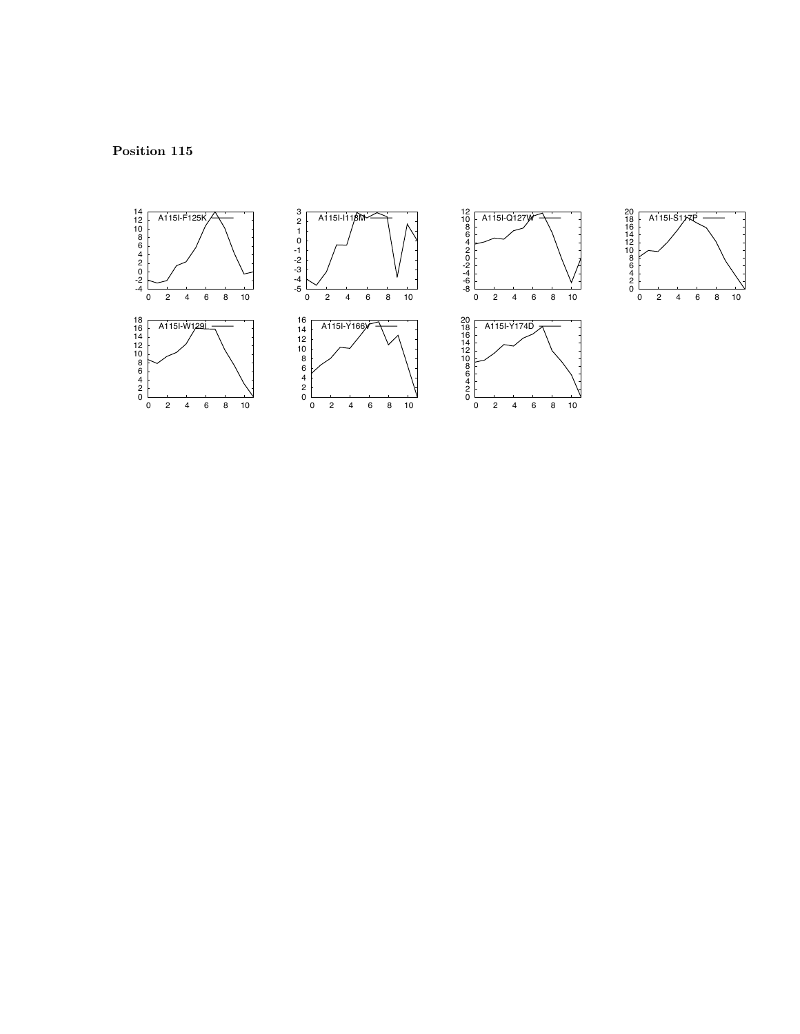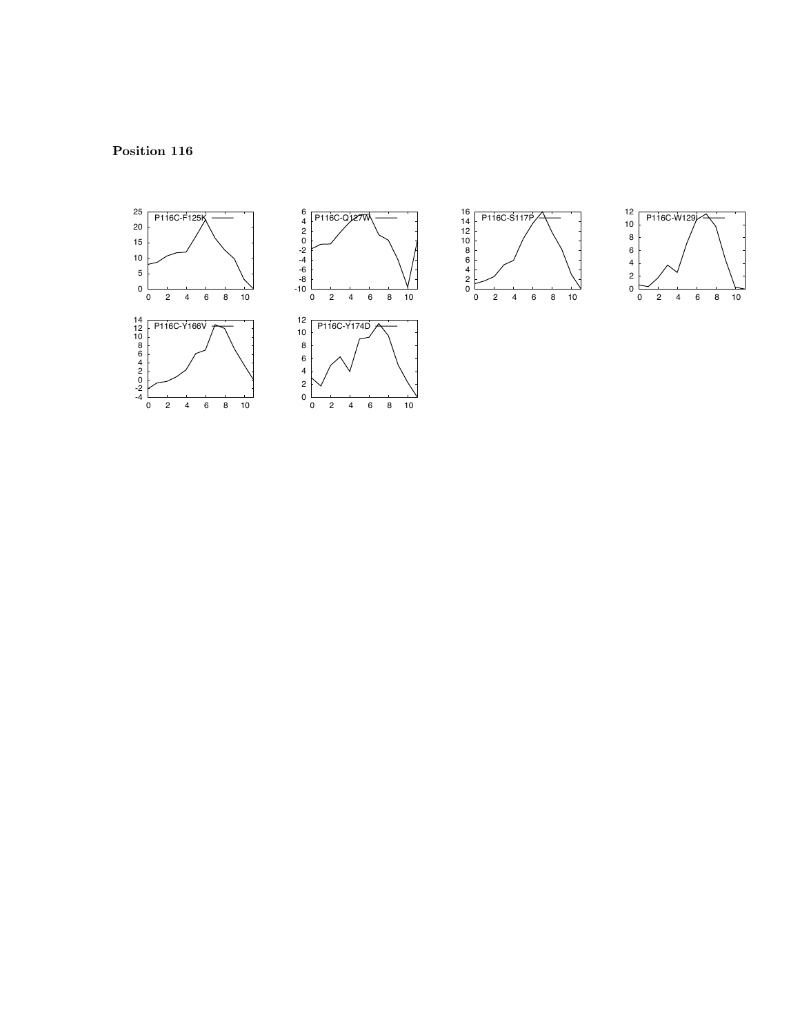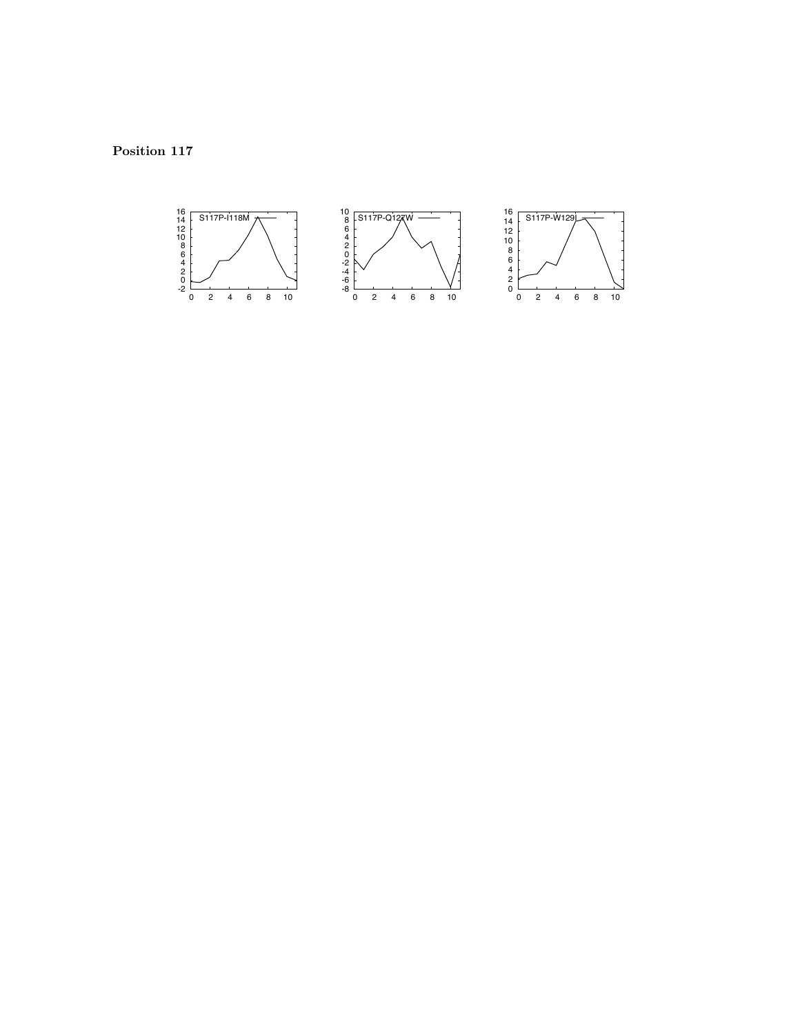Position 117

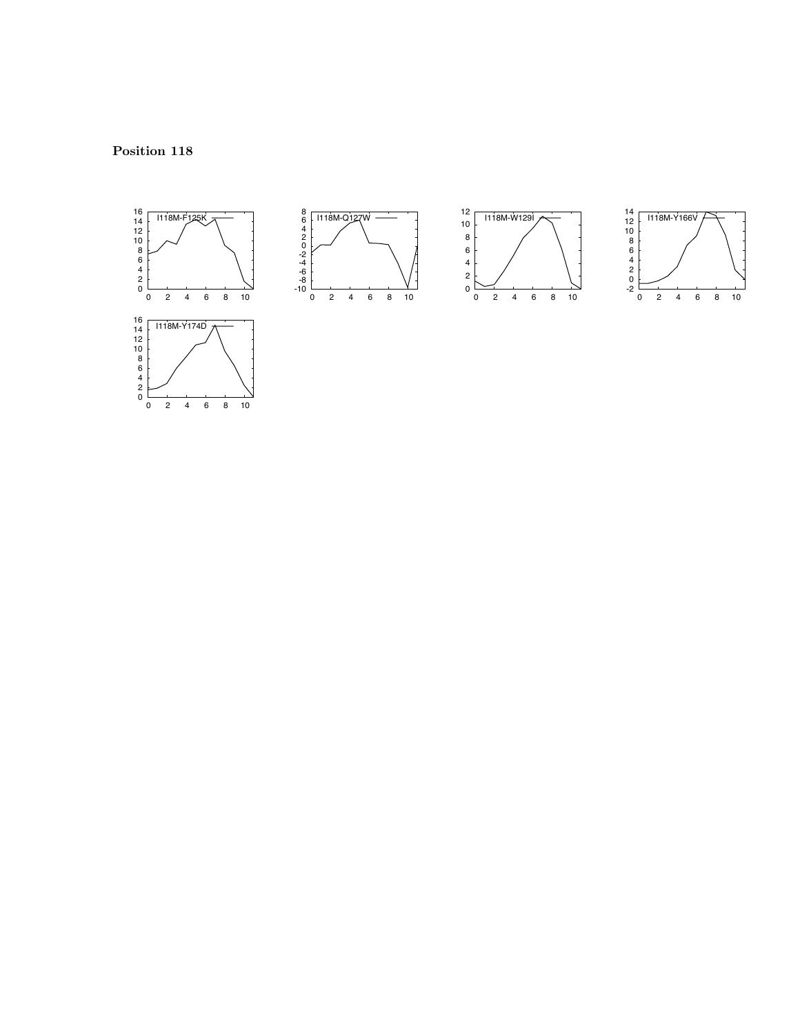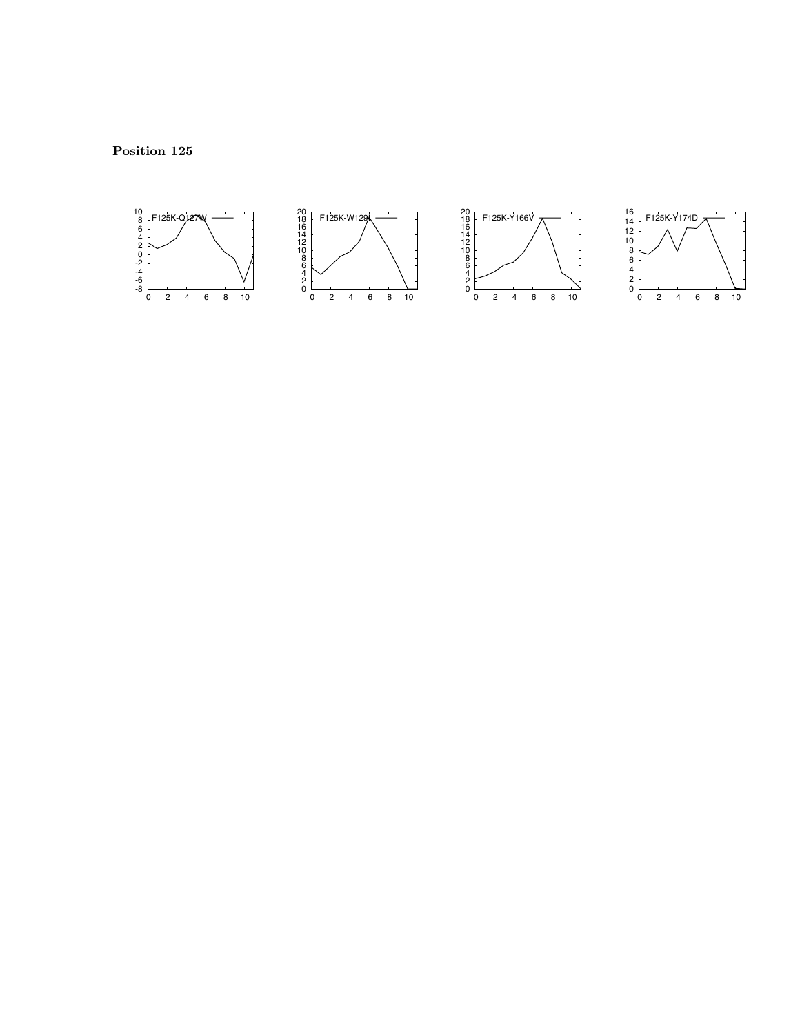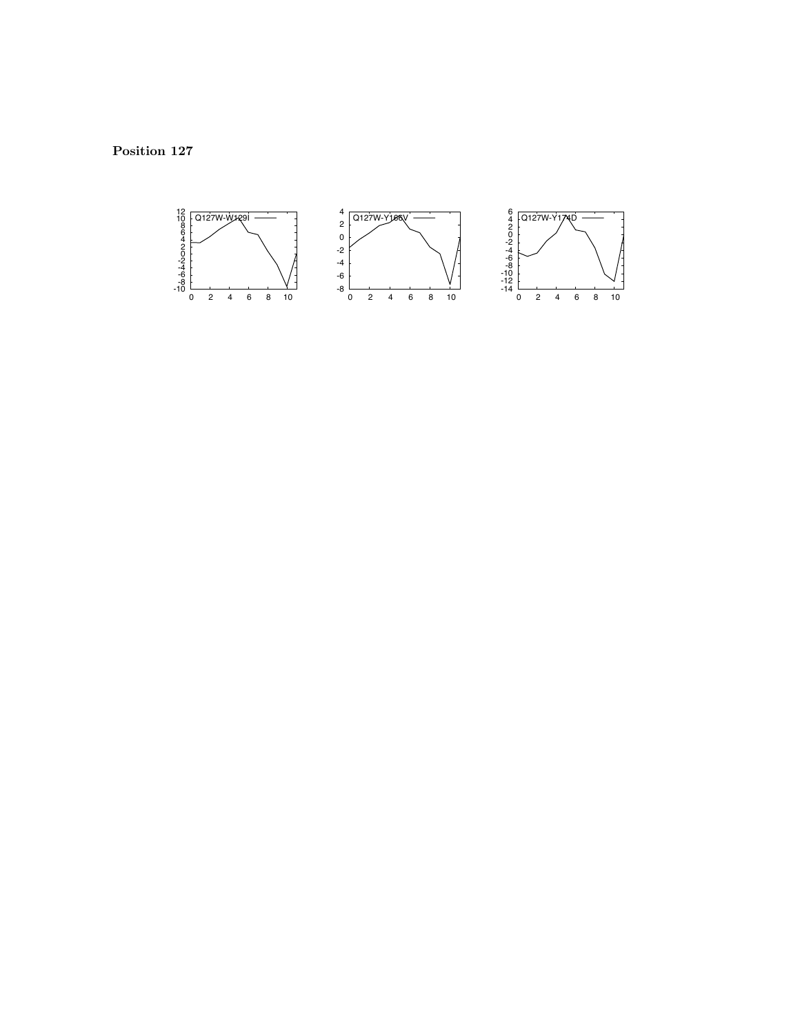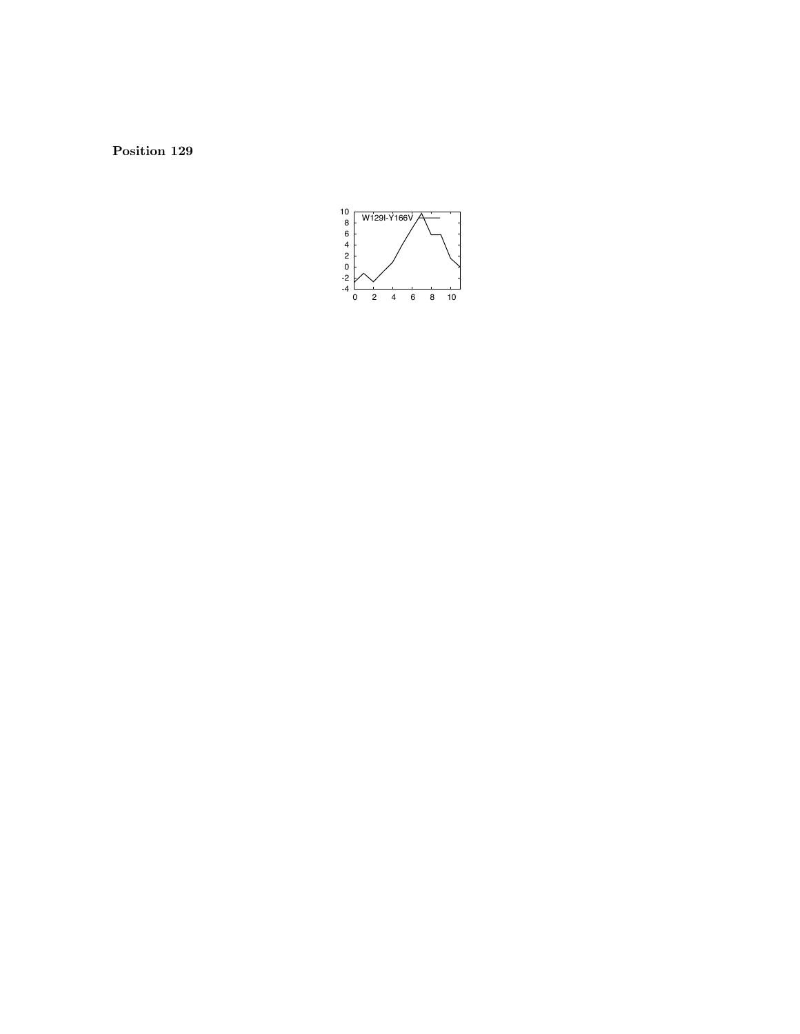